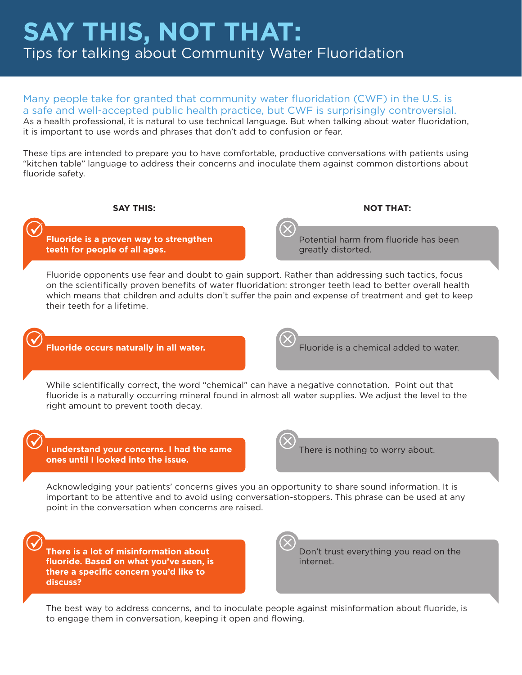# **SAY THIS, NOT THAT:** Tips for talking about Community Water Fluoridation

Many people take for granted that community water fluoridation (CWF) in the U.S. is a safe and well-accepted public health practice, but CWF is surprisingly controversial. As a health professional, it is natural to use technical language. But when talking about water fluoridation, it is important to use words and phrases that don't add to confusion or fear.

These tips are intended to prepare you to have comfortable, productive conversations with patients using "kitchen table" language to address their concerns and inoculate them against common distortions about fluoride safety.

## **SAY THIS: NOT THAT:**

**Fluoride is a proven way to strengthen teeth for people of all ages.**

Potential harm from fluoride has been greatly distorted.

Fluoride opponents use fear and doubt to gain support. Rather than addressing such tactics, focus on the scientifically proven benefits of water fluoridation: stronger teeth lead to better overall health which means that children and adults don't suffer the pain and expense of treatment and get to keep their teeth for a lifetime.

**Fluoride occurs naturally in all water.** Fluoride is a chemical added to water.

While scientifically correct, the word "chemical" can have a negative connotation. Point out that fluoride is a naturally occurring mineral found in almost all water supplies. We adjust the level to the right amount to prevent tooth decay.

**I understand your concerns. I had the same ones until I looked into the issue.**



There is nothing to worry about.

Acknowledging your patients' concerns gives you an opportunity to share sound information. It is important to be attentive and to avoid using conversation-stoppers. This phrase can be used at any point in the conversation when concerns are raised.

**There is a lot of misinformation about fluoride. Based on what you've seen, is there a specific concern you'd like to discuss?**

Don't trust everything you read on the internet.

The best way to address concerns, and to inoculate people against misinformation about fluoride, is to engage them in conversation, keeping it open and flowing.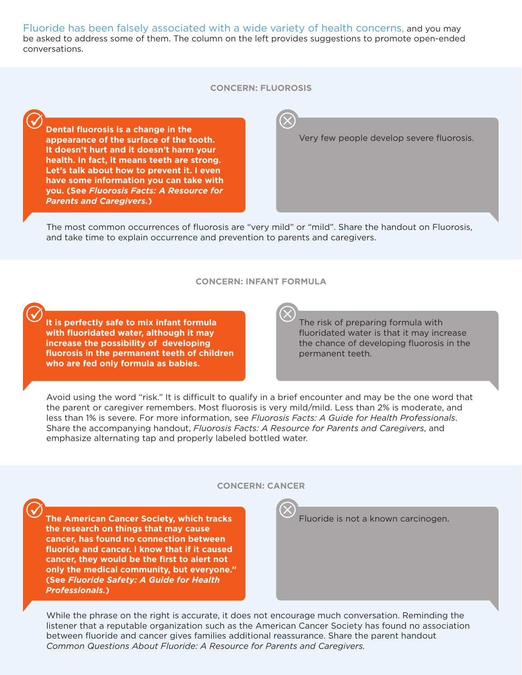Fluoride has been falsely associated with a wide variety of health concerns, and you may be asked to address some of them. The column on the left provides suggestions to promote open-ended conversations.

#### **CONCERN: FLUOROSIS**

**Dental fluorosis is a change in the appearance of the surface of the tooth. It doesn't hurt and it doesn't harm your health. In fact, it means teeth are strong. Let's talk about how to prevent it. I even have some information you can take with you. (See** *Fluorosis Facts: A Resource for Parents and Caregivers.***)**

## Very few people develop severe fluorosis.

The most common occurrences of fluorosis are "very mild" or "mild". Share the handout on Fluorosis, and take time to explain occurrence and prevention to parents and caregivers.

#### **CONCERN: INFANT FORMULA**

**It is perfectly safe to mix infant formula with fluoridated water, although it may increase the possibility of developing fluorosis in the permanent teeth of children who are fed only formula as babies.**

The risk of preparing formula with fluoridated water is that it may increase the chance of developing fluorosis in the permanent teeth.

Avoid using the word "risk." It is difficult to qualify in a brief encounter and may be the one word that the parent or caregiver remembers. Most fluorosis is very mild/mild. Less than 2% is moderate, and less than 1% is severe. For more information, see *Fluorosis Facts: A Guide for Health Professionals*. Share the accompanying handout, *Fluorosis Facts: A Resource for Parents and Caregivers*, and emphasize alternating tap and properly labeled bottled water.

#### **CONCERN: CANCER**

**The American Cancer Society, which tracks the research on things that may cause cancer, has found no connection between fluoride and cancer. I know that if it caused cancer, they would be the first to alert not only the medical community, but everyone." (See** *Fluoride Safety: A Guide for Health Professionals.***)**

Fluoride is not a known carcinogen.

While the phrase on the right is accurate, it does not encourage much conversation. Reminding the listener that a reputable organization such as the American Cancer Society has found no association between fluoride and cancer gives families additional reassurance. Share the parent handout *Common Questions About Fluoride: A Resource for Parents and Caregivers.*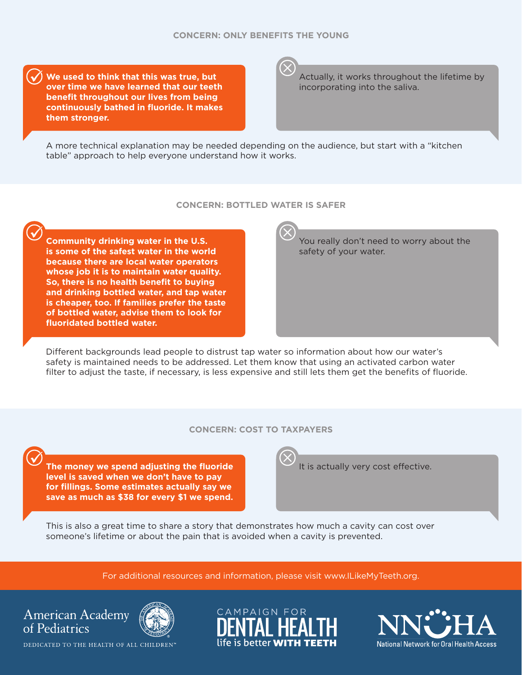**We used to think that this was true, but over time we have learned that our teeth benefit throughout our lives from being continuously bathed in fluoride. It makes them stronger.**

Actually, it works throughout the lifetime by incorporating into the saliva.

A more technical explanation may be needed depending on the audience, but start with a "kitchen table" approach to help everyone understand how it works.

#### **CONCERN: BOTTLED WATER IS SAFER**

**Community drinking water in the U.S. is some of the safest water in the world because there are local water operators whose job it is to maintain water quality. So, there is no health benefit to buying and drinking bottled water, and tap water is cheaper, too. If families prefer the taste of bottled water, advise them to look for fluoridated bottled water.**

You really don't need to worry about the safety of your water.

Different backgrounds lead people to distrust tap water so information about how our water's safety is maintained needs to be addressed. Let them know that using an activated carbon water filter to adjust the taste, if necessary, is less expensive and still lets them get the benefits of fluoride.

# **CONCERN: COST TO TAXPAYERS**

**The money we spend adjusting the fluoride level is saved when we don't have to pay for fillings. Some estimates actually say we save as much as \$38 for every \$1 we spend.**

It is actually very cost effective.

This is also a great time to share a story that demonstrates how much a cavity can cost over someone's lifetime or about the pain that is avoided when a cavity is prevented.

For additional resources and information, please visit [www.ILikeMyTeeth.org.](http://www.ilikemyteeth.org)





DEDICATED TO THE HEALTH OF ALL CHILDREN™